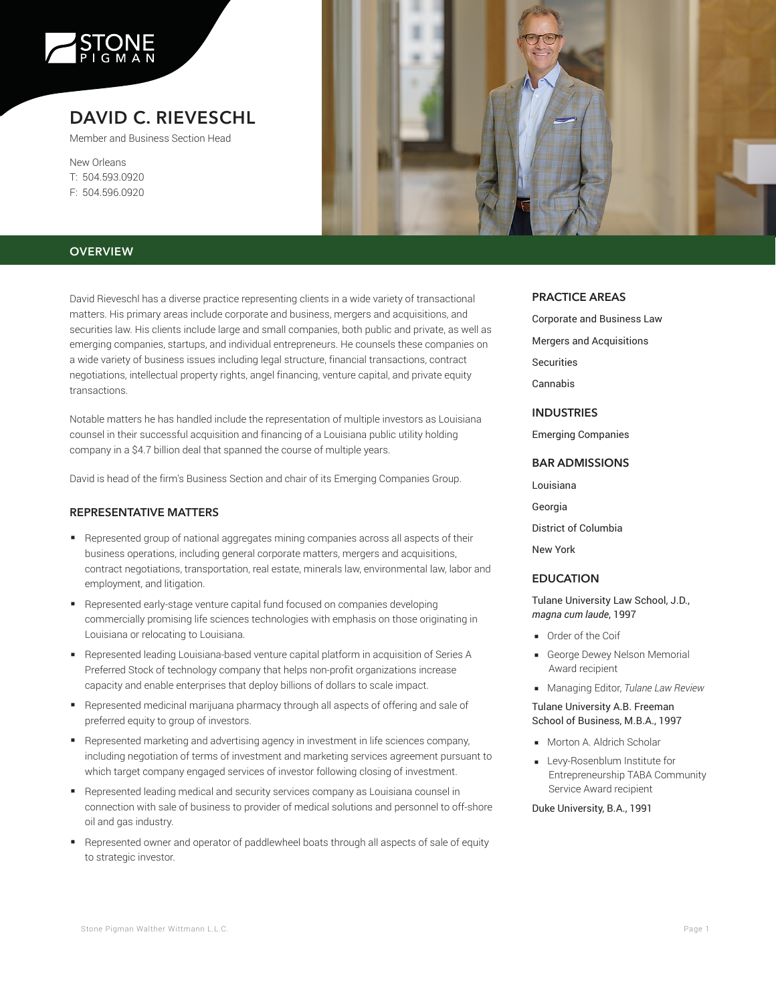

# **DAVID C. RIEVESCHL**

Member and Business Section Head

New Orleans T: 504.593.0920 F: 504.596.0920



# **OVERVIEW**

David Rieveschl has a diverse practice representing clients in a wide variety of transactional matters. His primary areas include corporate and business, mergers and acquisitions, and securities law. His clients include large and small companies, both public and private, as well as emerging companies, startups, and individual entrepreneurs. He counsels these companies on a wide variety of business issues including legal structure, financial transactions, contract negotiations, intellectual property rights, angel financing, venture capital, and private equity transactions.

Notable matters he has handled include the representation of multiple investors as Louisiana counsel in their successful acquisition and financing of a Louisiana public utility holding company in a \$4.7 billion deal that spanned the course of multiple years.

David is head of the firm's Business Section and chair of its Emerging Companies Group.

## **REPRESENTATIVE MATTERS**

- Represented group of national aggregates mining companies across all aspects of their business operations, including general corporate matters, mergers and acquisitions, contract negotiations, transportation, real estate, minerals law, environmental law, labor and employment, and litigation.
- Represented early-stage venture capital fund focused on companies developing commercially promising life sciences technologies with emphasis on those originating in Louisiana or relocating to Louisiana.
- Represented leading Louisiana-based venture capital platform in acquisition of Series A Preferred Stock of technology company that helps non-profit organizations increase capacity and enable enterprises that deploy billions of dollars to scale impact.
- Represented medicinal marijuana pharmacy through all aspects of offering and sale of preferred equity to group of investors.
- Represented marketing and advertising agency in investment in life sciences company, including negotiation of terms of investment and marketing services agreement pursuant to which target company engaged services of investor following closing of investment.
- Represented leading medical and security services company as Louisiana counsel in connection with sale of business to provider of medical solutions and personnel to off-shore oil and gas industry.
- Represented owner and operator of paddlewheel boats through all aspects of sale of equity to strategic investor.

#### **PRACTICE AREAS**

Corporate and Business Law Mergers and Acquisitions Securities Cannabis

**INDUSTRIES**

Emerging Companies

# **BAR ADMISSIONS**

Louisiana

Georgia

District of Columbia

New York

#### **EDUCATION**

Tulane University Law School, J.D., *magna cum laude*, 1997

- Order of the Coif
- George Dewey Nelson Memorial Award recipient
- Managing Editor, *Tulane Law Review*

## Tulane University A.B. Freeman School of Business, M.B.A., 1997

- Morton A. Aldrich Scholar
- Levy-Rosenblum Institute for Entrepreneurship TABA Community Service Award recipient

#### Duke University, B.A., 1991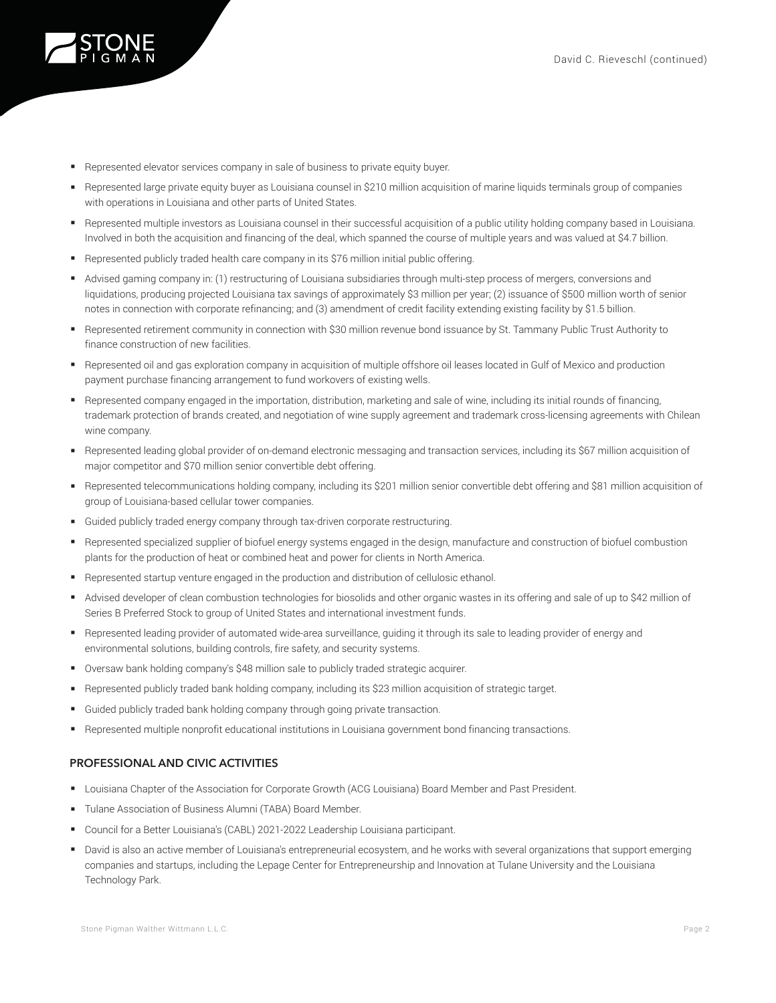

- Represented elevator services company in sale of business to private equity buyer.
- Represented large private equity buyer as Louisiana counsel in \$210 million acquisition of marine liquids terminals group of companies with operations in Louisiana and other parts of United States.
- Represented multiple investors as Louisiana counsel in their successful acquisition of a public utility holding company based in Louisiana. Involved in both the acquisition and financing of the deal, which spanned the course of multiple years and was valued at \$4.7 billion.
- Represented publicly traded health care company in its \$76 million initial public offering.
- Advised gaming company in: (1) restructuring of Louisiana subsidiaries through multi-step process of mergers, conversions and liquidations, producing projected Louisiana tax savings of approximately \$3 million per year; (2) issuance of \$500 million worth of senior notes in connection with corporate refinancing; and (3) amendment of credit facility extending existing facility by \$1.5 billion.
- Represented retirement community in connection with \$30 million revenue bond issuance by St. Tammany Public Trust Authority to finance construction of new facilities.
- Represented oil and gas exploration company in acquisition of multiple offshore oil leases located in Gulf of Mexico and production payment purchase financing arrangement to fund workovers of existing wells.
- Represented company engaged in the importation, distribution, marketing and sale of wine, including its initial rounds of financing, trademark protection of brands created, and negotiation of wine supply agreement and trademark cross-licensing agreements with Chilean wine company.
- Represented leading global provider of on-demand electronic messaging and transaction services, including its \$67 million acquisition of major competitor and \$70 million senior convertible debt offering.
- Represented telecommunications holding company, including its \$201 million senior convertible debt offering and \$81 million acquisition of group of Louisiana-based cellular tower companies.
- Guided publicly traded energy company through tax-driven corporate restructuring.
- Represented specialized supplier of biofuel energy systems engaged in the design, manufacture and construction of biofuel combustion plants for the production of heat or combined heat and power for clients in North America.
- Represented startup venture engaged in the production and distribution of cellulosic ethanol.
- Advised developer of clean combustion technologies for biosolids and other organic wastes in its offering and sale of up to \$42 million of Series B Preferred Stock to group of United States and international investment funds.
- Represented leading provider of automated wide-area surveillance, guiding it through its sale to leading provider of energy and environmental solutions, building controls, fire safety, and security systems.
- Oversaw bank holding company's \$48 million sale to publicly traded strategic acquirer.
- Represented publicly traded bank holding company, including its \$23 million acquisition of strategic target.
- Guided publicly traded bank holding company through going private transaction.
- Represented multiple nonprofit educational institutions in Louisiana government bond financing transactions.

## **PROFESSIONAL AND CIVIC ACTIVITIES**

- Louisiana Chapter of the Association for Corporate Growth (ACG Louisiana) Board Member and Past President.
- Tulane Association of Business Alumni (TABA) Board Member.
- Council for a Better Louisiana's (CABL) 2021-2022 Leadership Louisiana participant.
- David is also an active member of Louisiana's entrepreneurial ecosystem, and he works with several organizations that support emerging companies and startups, including the Lepage Center for Entrepreneurship and Innovation at Tulane University and the Louisiana Technology Park.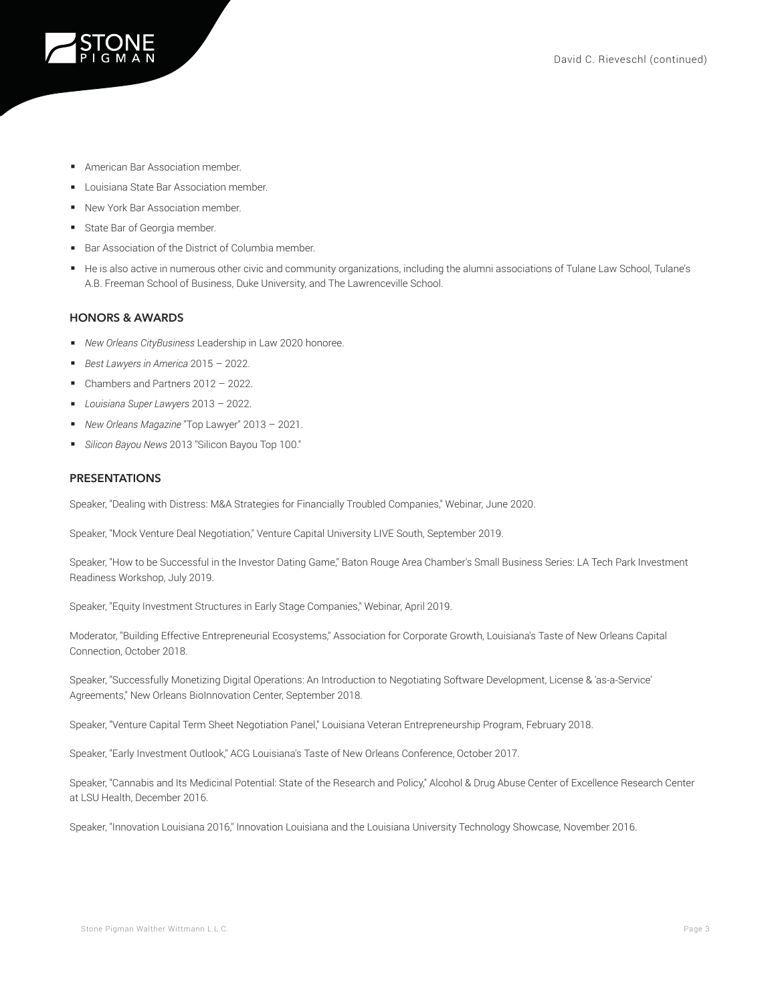

- American Bar Association member.
- Louisiana State Bar Association member.
- New York Bar Association member.
- State Bar of Georgia member.
- Bar Association of the District of Columbia member.
- He is also active in numerous other civic and community organizations, including the alumni associations of Tulane Law School, Tulane's A.B. Freeman School of Business, Duke University, and The Lawrenceville School.

#### **HONORS & AWARDS**

- *New Orleans CityBusiness* Leadership in Law 2020 honoree.
- *Best Lawyers in America* 2015 2022.
- Chambers and Partners 2012 2022.
- *Louisiana Super Lawyers* 2013 2022.
- *New Orleans Magazine* "Top Lawyer" 2013 2021.
- *Silicon Bayou News* 2013 "Silicon Bayou Top 100."

#### **PRESENTATIONS**

Speaker, "Dealing with Distress: M&A Strategies for Financially Troubled Companies," Webinar, June 2020.

Speaker, "Mock Venture Deal Negotiation," Venture Capital University LIVE South, September 2019.

Speaker, "How to be Successful in the Investor Dating Game," Baton Rouge Area Chamber's Small Business Series: LA Tech Park Investment Readiness Workshop, July 2019.

Speaker, "Equity Investment Structures in Early Stage Companies," Webinar, April 2019.

Moderator, "Building Effective Entrepreneurial Ecosystems," Association for Corporate Growth, Louisiana's Taste of New Orleans Capital Connection, October 2018.

Speaker, "Successfully Monetizing Digital Operations: An Introduction to Negotiating Software Development, License & 'as-a-Service' Agreements," New Orleans BioInnovation Center, September 2018.

Speaker, "Venture Capital Term Sheet Negotiation Panel," Louisiana Veteran Entrepreneurship Program, February 2018.

Speaker, "Early Investment Outlook," ACG Louisiana's Taste of New Orleans Conference, October 2017.

Speaker, "Cannabis and Its Medicinal Potential: State of the Research and Policy," Alcohol & Drug Abuse Center of Excellence Research Center at LSU Health, December 2016.

Speaker, "Innovation Louisiana 2016," Innovation Louisiana and the Louisiana University Technology Showcase, November 2016.